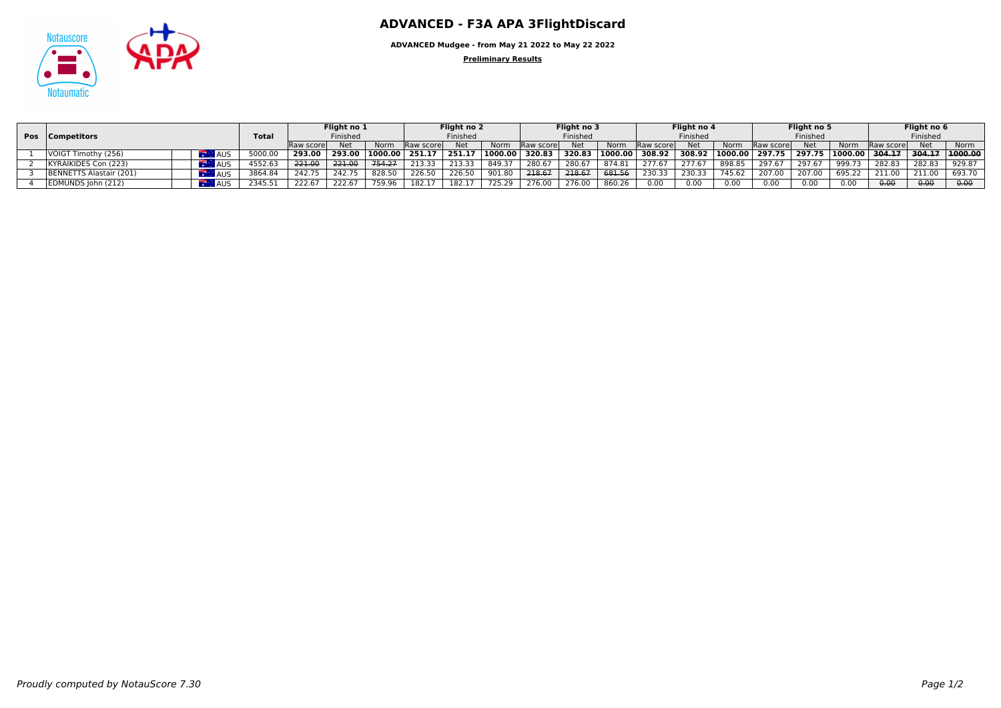

**ADVANCED Mudgee - from May 21 2022 to May 22 2022**

**Preliminary Results**

|                                   |              | Flight no 1 |            |          | Flight no 2       |          | Flight no 3 |              |            | Flight no 4 |                   | Flight no 5 |          | Flight no 6       |        |                    |                   |        |         |
|-----------------------------------|--------------|-------------|------------|----------|-------------------|----------|-------------|--------------|------------|-------------|-------------------|-------------|----------|-------------------|--------|--------------------|-------------------|--------|---------|
| <b>Pos</b>   Competitors          | <b>Total</b> | Finished    |            | Finished |                   | Finished |             |              | Finished   |             | Finished          |             | Finished |                   |        |                    |                   |        |         |
|                                   |              | Raw score   | <b>Net</b> | Norm     | <b>IRaw score</b> | Net      | Norm        | - Raw scorel | <b>Net</b> | Norm        | <b>IRaw score</b> | <b>Net</b>  | Norm     | <b>Raw scorel</b> | Net    | Norm               | <b>IRaw score</b> | Net    | Norm    |
| VOIGT Timothy (256)<br><b>AUS</b> | 5000.0       | 293.00      | 293.00     | 1000.00  | 251.1             | 251.1    | 1000.00     | 320.83       | 320.83     | 1000.00     | 308.92            | 308.92      |          | 1000.00 297.75    | 297.75 | $ 1000.00 $ 304.17 |                   | 304.17 | 1000.00 |
| KYRAIKIDES Con (223)<br>AUS       | 4552.6       | 221.00      | 221.00     | 754.27   | 213.33            | 213.33   | 849.37      | 280.67       | 280.67     | 874.81      |                   | 277.6       | 898.85   | 297.67            | 297.6  | 999.73             | 282.83            | 282.83 | 929.87  |
| BENNETTS Alastair (201)<br>AUS    | 3864.84      | 242.75      | 242.7      | 828.5    | 226.50            | 226.50   | 901.80      | 218.67       | 218.67     | 681.56      | 230.33            | 230.33      | 745.62   | 207.00            | 207.00 | 695.22             | 211.00            | 211.00 | 693.70  |
| EDMUNDS John (212)<br><b>AUS</b>  | 2345.51      | 222.67      | 222.67     | 759.96   |                   | 182.17   | 725.29      | 276.00       | 276.0      | 860.26      | 0.00              | 0.00        | 0.00     | 0.00              | 0.00   | 0.00               | 0.00              | 0.00   | 0.00    |